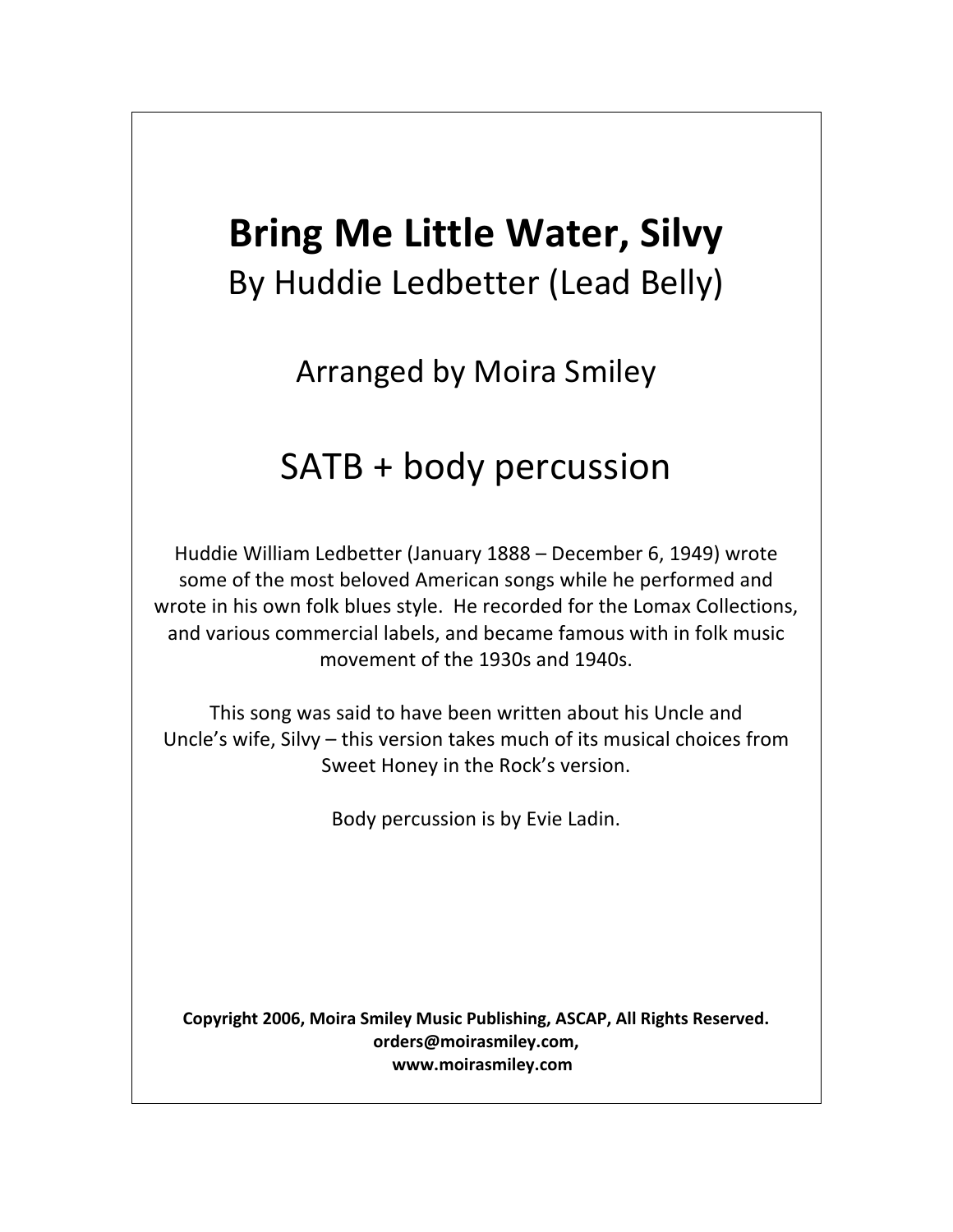## **Bring Me Little Water, Silvy** By Huddie Ledbetter (Lead Belly)

Arranged by Moira Smiley

## SATB + body percussion

Huddie William Ledbetter (January 1888 – December 6, 1949) wrote some of the most beloved American songs while he performed and wrote in his own folk blues style. He recorded for the Lomax Collections, and various commercial labels, and became famous with in folk music movement of the 1930s and 1940s.

This song was said to have been written about his Uncle and Uncle's wife, Silvy  $-$  this version takes much of its musical choices from Sweet Honey in the Rock's version.

Body percussion is by Evie Ladin.

**Copyright 2006, Moira Smiley Music Publishing, ASCAP, All Rights Reserved. orders@moirasmiley.com, www.moirasmiley.com**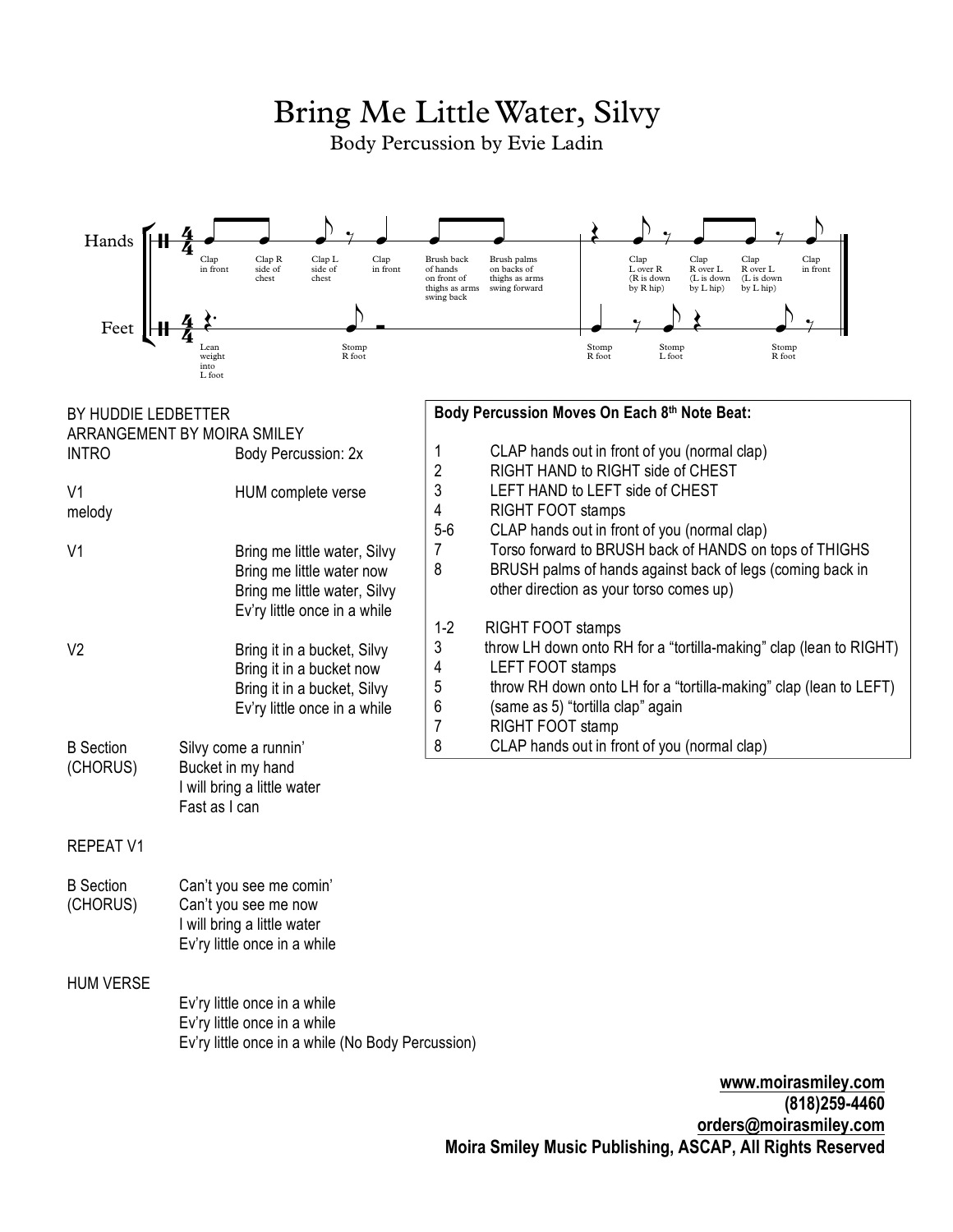## Bring Me LittleWater, Silvy

Body Percussion by Evie Ladin